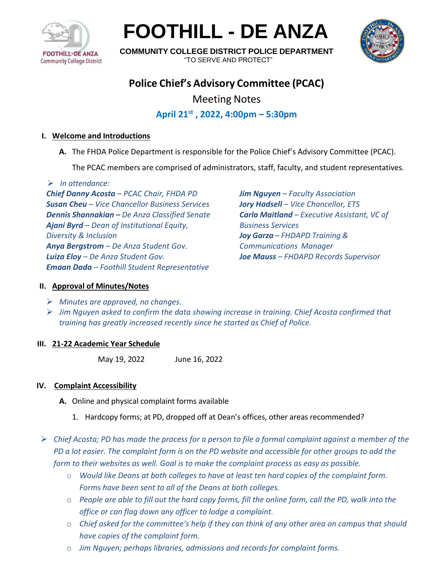

**FOOTHILL - DE ANZA**



**COMMUNITY COLLEGE DISTRICT POLICE DEPARTMENT** "TO SERVE AND PROTECT"

# **Police Chief's Advisory Committee (PCAC)**

Meeting Notes

## **April 21st , 2022, 4:00pm – 5:30pm**

## **I. Welcome and Introductions**

**A.** The FHDA Police Department is responsible for the Police Chief's Advisory Committee (PCAC).

The PCAC members are comprised of administrators, staff, faculty, and student representatives.

➢ *In attendance:*

*Chief Danny Acosta – PCAC Chair, FHDA PD Susan Cheu – Vice Chancellor Business Services Dennis Shannakian – De Anza Classified Senate Ajani Byrd – Dean of Institutional Equity, Diversity & Inclusion Anya Bergstrom – De Anza Student Gov. Luiza Eloy – De Anza Student Gov. Emaan Dada – Foothill Student Representative*

*Jim Nguyen – Faculty Association Jory Hadsell – Vice Chancellor, ETS Carla Maitland – Executive Assistant, VC of Business Services Joy Garza – FHDAPD Training & Communications Manager Joe Mauss – FHDAPD Records Supervisor*

## **II. Approval of Minutes/Notes**

- ➢ *Minutes are approved, no changes.*
- ➢ *Jim Nguyen asked to confirm the data showing increase in training. Chief Acosta confirmed that training has greatly increased recently since he started as Chief of Police.*

## **III. 21-22 Academic Year Schedule**

May 19, 2022 June 16, 2022

## **IV. Complaint Accessibility**

- **A.** Online and physical complaint forms available
	- 1. Hardcopy forms; at PD, dropped off at Dean's offices, other areas recommended?

➢ *Chief Acosta; PD has made the process for a person to file a formal complaint against a member of the PD a lot easier. The complaint form is on the PD website and accessible for other groups to add the form to their websites as well. Goal is to make the complaint process as easy as possible.*

- o *Would like Deans at both colleges to have at least ten hard copies of the complaint form. Forms have been sent to all of the Deans at both colleges.*
- o *People are able to fill out the hard copy forms, fill the online form, call the PD, walk into the office or can flag down any officer to lodge a complaint.*
- o *Chief asked for the committee's help if they can think of any other area on campus that should have copies of the complaint form.*
- o *Jim Nguyen; perhaps libraries, admissions and records for complaint forms.*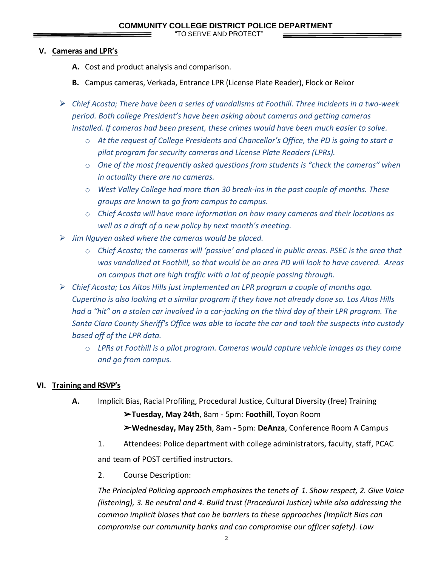"TO SERVE AND PROTECT"

#### **V. Cameras and LPR's**

- **A.** Cost and product analysis and comparison.
- **B.** Campus cameras, Verkada, Entrance LPR (License Plate Reader), Flock or Rekor
- ➢ *Chief Acosta; There have been a series of vandalisms at Foothill. Three incidents in a two-week period. Both college President's have been asking about cameras and getting cameras installed. If cameras had been present, these crimes would have been much easier to solve.*
	- o *At the request of College Presidents and Chancellor's Office, the PD is going to start a pilot program for security cameras and License Plate Readers (LPRs).*
	- o *One of the most frequently asked questions from students is "check the cameras" when in actuality there are no cameras.*
	- o *West Valley College had more than 30 break-ins in the past couple of months. These groups are known to go from campus to campus.*
	- o *Chief Acosta will have more information on how many cameras and their locations as well as a draft of a new policy by next month's meeting.*
- ➢ *Jim Nguyen asked where the cameras would be placed.* 
	- o *Chief Acosta; the cameras will 'passive' and placed in public areas. PSEC is the area that was vandalized at Foothill, so that would be an area PD will look to have covered. Areas on campus that are high traffic with a lot of people passing through.*
- ➢ *Chief Acosta; Los Altos Hills just implemented an LPR program a couple of months ago. Cupertino is also looking at a similar program if they have not already done so. Los Altos Hills had a "hit" on a stolen car involved in a car-jacking on the third day of their LPR program. The Santa Clara County Sheriff's Office was able to locate the car and took the suspects into custody based off of the LPR data.*
	- o *LPRs at Foothill is a pilot program. Cameras would capture vehicle images as they come and go from campus.*

## **VI. Training and RSVP's**

**A.** Implicit Bias, Racial Profiling, Procedural Justice, Cultural Diversity (free) Training

➢**Tuesday, May 24th**, 8am - 5pm: **Foothill**, Toyon Room ➢**Wednesday, May 25th**, 8am - 5pm: **DeAnza**, Conference Room A Campus

- 1. Attendees: Police department with college administrators, faculty, staff, PCAC and team of POST certified instructors.
- 2. Course Description:

*The Principled Policing approach emphasizes the tenets of 1. Show respect, 2. Give Voice (listening), 3. Be neutral and 4. Build trust (Procedural Justice) while also addressing the common implicit biases that can be barriers to these approaches (Implicit Bias can compromise our community banks and can compromise our officer safety). Law*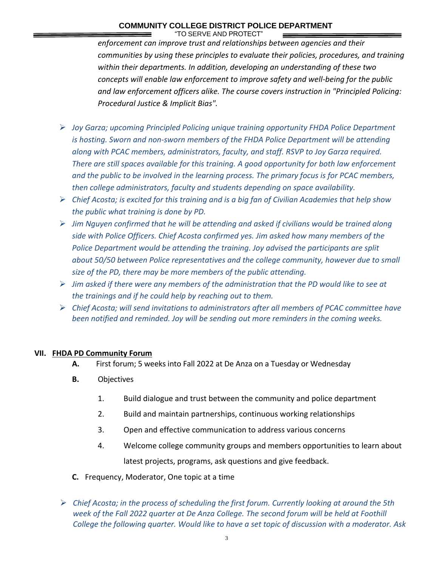## **COMMUNITY COLLEGE DISTRICT POLICE DEPARTMENT**

"TO SERVE AND PROTECT"

*enforcement can improve trust and relationships between agencies and their communities by using these principles to evaluate their policies, procedures, and training within their departments. In addition, developing an understanding of these two concepts will enable law enforcement to improve safety and well-being for the public and law enforcement officers alike. The course covers instruction in "Principled Policing: Procedural Justice & Implicit Bias".*

- ➢ *Joy Garza; upcoming Principled Policing unique training opportunity FHDA Police Department is hosting. Sworn and non-sworn members of the FHDA Police Department will be attending along with PCAC members, administrators, faculty, and staff. RSVP to Joy Garza required. There are still spaces available for this training. A good opportunity for both law enforcement and the public to be involved in the learning process. The primary focus is for PCAC members, then college administrators, faculty and students depending on space availability.*
- ➢ *Chief Acosta; is excited for this training and is a big fan of Civilian Academies that help show the public what training is done by PD.*
- ➢ *Jim Nguyen confirmed that he will be attending and asked if civilians would be trained along side with Police Officers. Chief Acosta confirmed yes. Jim asked how many members of the Police Department would be attending the training. Joy advised the participants are split about 50/50 between Police representatives and the college community, however due to small size of the PD, there may be more members of the public attending.*
- ➢ *Jim asked if there were any members of the administration that the PD would like to see at the trainings and if he could help by reaching out to them.*
- ➢ *Chief Acosta; will send invitations to administrators after all members of PCAC committee have been notified and reminded. Joy will be sending out more reminders in the coming weeks.*

#### **VII. FHDA PD Community Forum**

- **A.** First forum; 5 weeks into Fall 2022 at De Anza on a Tuesday or Wednesday
- **B.** Objectives
	- 1. Build dialogue and trust between the community and police department
	- 2. Build and maintain partnerships, continuous working relationships
	- 3. Open and effective communication to address various concerns
	- 4. Welcome college community groups and members opportunities to learn about latest projects, programs, ask questions and give feedback.
- **C.** Frequency, Moderator, One topic at a time
- ➢ *Chief Acosta; in the process of scheduling the first forum. Currently looking at around the 5th week of the Fall 2022 quarter at De Anza College. The second forum will be held at Foothill College the following quarter. Would like to have a set topic of discussion with a moderator. Ask*